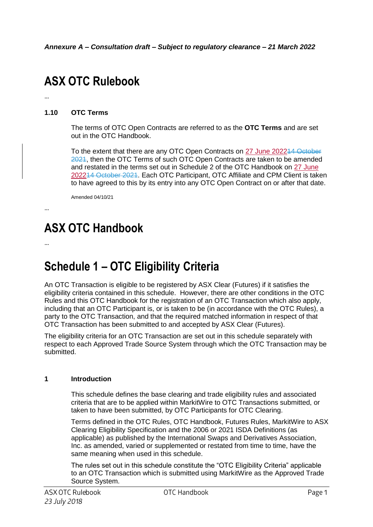# **ASX OTC Rulebook**

## **1.10 OTC Terms**

The terms of OTC Open Contracts are referred to as the **OTC Terms** and are set out in the OTC Handbook.

To the extent that there are any OTC Open Contracts on 27 June 202214 October 2021, then the OTC Terms of such OTC Open Contracts are taken to be amended and restated in the terms set out in Schedule 2 of the OTC Handbook on 27 June 202214 October 2021. Each OTC Participant, OTC Affiliate and CPM Client is taken to have agreed to this by its entry into any OTC Open Contract on or after that date.

Amended 04/10/21

## …

…

## **ASX OTC Handbook**

…

## **Schedule 1 – OTC Eligibility Criteria**

An OTC Transaction is eligible to be registered by ASX Clear (Futures) if it satisfies the eligibility criteria contained in this schedule. However, there are other conditions in the OTC Rules and this OTC Handbook for the registration of an OTC Transaction which also apply, including that an OTC Participant is, or is taken to be (in accordance with the OTC Rules), a party to the OTC Transaction, and that the required matched information in respect of that OTC Transaction has been submitted to and accepted by ASX Clear (Futures).

The eligibility criteria for an OTC Transaction are set out in this schedule separately with respect to each Approved Trade Source System through which the OTC Transaction may be submitted.

#### **1 Introduction**

This schedule defines the base clearing and trade eligibility rules and associated criteria that are to be applied within MarkitWire to OTC Transactions submitted, or taken to have been submitted, by OTC Participants for OTC Clearing.

Terms defined in the OTC Rules, OTC Handbook, Futures Rules, MarkitWire to ASX Clearing Eligibility Specification and the 2006 or 2021 ISDA Definitions (as applicable) as published by the International Swaps and Derivatives Association, Inc. as amended, varied or supplemented or restated from time to time, have the same meaning when used in this schedule.

The rules set out in this schedule constitute the "OTC Eligibility Criteria" applicable to an OTC Transaction which is submitted using MarkitWire as the Approved Trade Source System.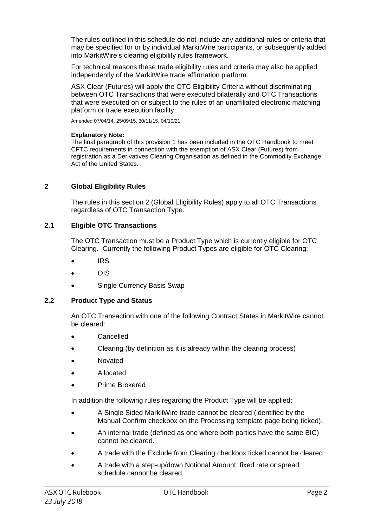The rules outlined in this schedule do not include any additional rules or criteria that may be specified for or by individual MarkitWire participants, or subsequently added into MarkitWire's clearing eligibility rules framework.

For technical reasons these trade eligibility rules and criteria may also be applied independently of the MarkitWire trade affirmation platform.

ASX Clear (Futures) will apply the OTC Eligibility Criteria without discriminating between OTC Transactions that were executed bilaterally and OTC Transactions that were executed on or subject to the rules of an unaffiliated electronic matching platform or trade execution facility.

Amended 07/04/14, 25/09/15, 30/11/15, 04/10/21

#### **Explanatory Note:**

The final paragraph of this provision 1 has been included in the OTC Handbook to meet CFTC requirements in connection with the exemption of ASX Clear (Futures) from registration as a Derivatives Clearing Organisation as defined in the Commodity Exchange Act of the United States.

### **2 Global Eligibility Rules**

The rules in this section 2 (Global Eligibility Rules) apply to all OTC Transactions regardless of OTC Transaction Type.

## **2.1 Eligible OTC Transactions**

The OTC Transaction must be a Product Type which is currently eligible for OTC Clearing. Currently the following Product Types are eligible for OTC Clearing:

- IRS
- OIS
- Single Currency Basis Swap

#### **2.2 Product Type and Status**

An OTC Transaction with one of the following Contract States in MarkitWire cannot be cleared:

- Cancelled
- Clearing (by definition as it is already within the clearing process)
- Novated
- Allocated
- Prime Brokered

In addition the following rules regarding the Product Type will be applied:

- A Single Sided MarkitWire trade cannot be cleared (identified by the Manual Confirm checkbox on the Processing template page being ticked).
- An internal trade (defined as one where both parties have the same BIC) cannot be cleared.
- A trade with the Exclude from Clearing checkbox ticked cannot be cleared.
- A trade with a step-up/down Notional Amount, fixed rate or spread schedule cannot be cleared.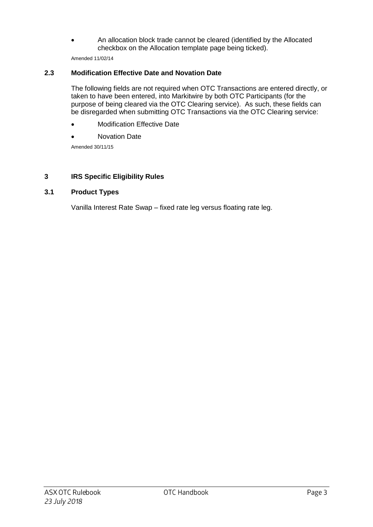An allocation block trade cannot be cleared (identified by the Allocated checkbox on the Allocation template page being ticked).

Amended 11/02/14

## **2.3 Modification Effective Date and Novation Date**

The following fields are not required when OTC Transactions are entered directly, or taken to have been entered, into Markitwire by both OTC Participants (for the purpose of being cleared via the OTC Clearing service). As such, these fields can be disregarded when submitting OTC Transactions via the OTC Clearing service:

- Modification Effective Date
- Novation Date

Amended 30/11/15

## **3 IRS Specific Eligibility Rules**

## **3.1 Product Types**

Vanilla Interest Rate Swap – fixed rate leg versus floating rate leg.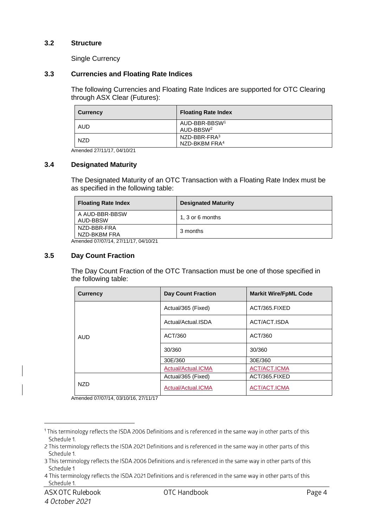### **3.2 Structure**

Single Currency

#### **3.3 Currencies and Floating Rate Indices**

The following Currencies and Floating Rate Indices are supported for OTC Clearing through ASX Clear (Futures):

| <b>Currency</b> | <b>Floating Rate Index</b>                         |
|-----------------|----------------------------------------------------|
| AUD             | AUD-BBR-BBSW <sup>1</sup><br>AUD-BBSW <sup>2</sup> |
| <b>NZD</b>      | $NZD-BBR-FRA3$<br>NZD-BKBM FRA <sup>4</sup>        |

Amended 27/11/17, 04/10/21

#### **3.4 Designated Maturity**

The Designated Maturity of an OTC Transaction with a Floating Rate Index must be as specified in the following table:

| <b>Floating Rate Index</b>  | <b>Designated Maturity</b> |
|-----------------------------|----------------------------|
| A AUD-BBR-BBSW<br>AUD-BBSW  | 1, 3 or 6 months           |
| NZD-BBR-FRA<br>NZD-BKBM FRA | 3 months                   |

Amended 07/07/14, 27/11/17, 04/10/21

#### **3.5 Day Count Fraction**

The Day Count Fraction of the OTC Transaction must be one of those specified in the following table:

| <b>Currency</b> | <b>Day Count Fraction</b> | <b>Markit Wire/FpML Code</b> |
|-----------------|---------------------------|------------------------------|
|                 | Actual/365 (Fixed)        | ACT/365.FIXED                |
|                 | Actual/Actual.ISDA        | ACT/ACT.ISDA                 |
| <b>AUD</b>      | ACT/360                   | ACT/360                      |
|                 | 30/360                    | 30/360                       |
|                 | 30E/360                   | 30E/360                      |
|                 | Actual/Actual.ICMA        | <b>ACT/ACT.ICMA</b>          |
| <b>NZD</b>      | Actual/365 (Fixed)        | ACT/365.FIXED                |
|                 | Actual/Actual.ICMA        | <b>ACT/ACT.ICMA</b>          |

Amended 07/07/14, 03/10/16, 27/11/17

<sup>&</sup>lt;sup>1</sup> This terminology reflects the ISDA 2006 Definitions and is referenced in the same way in other parts of this Schedule 1.

<sup>2</sup> This terminology reflects the ISDA 2021 Definitions and is referenced in the same way in other parts of this Schedule 1.

<sup>3</sup> This terminology reflects the ISDA 2006 Definitions and is referenced in the same way in other parts of this Schedule 1

<sup>4</sup> This terminology reflects the ISDA 2021 Definitions and is referenced in the same way in other parts of this Schedule 1.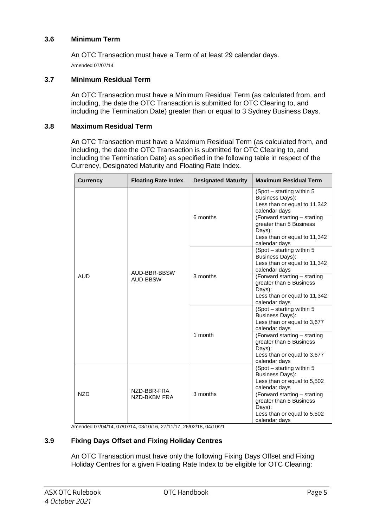## **3.6 Minimum Term**

An OTC Transaction must have a Term of at least 29 calendar days. Amended 07/07/14

#### **3.7 Minimum Residual Term**

An OTC Transaction must have a Minimum Residual Term (as calculated from, and including, the date the OTC Transaction is submitted for OTC Clearing to, and including the Termination Date) greater than or equal to 3 Sydney Business Days.

#### **3.8 Maximum Residual Term**

An OTC Transaction must have a Maximum Residual Term (as calculated from, and including, the date the OTC Transaction is submitted for OTC Clearing to, and including the Termination Date) as specified in the following table in respect of the Currency, Designated Maturity and Floating Rate Index.

| <b>Currency</b> | <b>Floating Rate Index</b>      | <b>Designated Maturity</b> | <b>Maximum Residual Term</b>                                                                                                                                                                                            |
|-----------------|---------------------------------|----------------------------|-------------------------------------------------------------------------------------------------------------------------------------------------------------------------------------------------------------------------|
| <b>AUD</b>      | AUD-BBR-BBSW<br><b>AUD-BBSW</b> | 6 months                   | $(Spot - starting with in 5)$<br>Business Days):<br>Less than or equal to 11,342<br>calendar days<br>(Forward starting - starting<br>greater than 5 Business<br>Days):<br>Less than or equal to 11,342<br>calendar days |
|                 |                                 | 3 months                   | (Spot - starting within 5<br>Business Days):<br>Less than or equal to 11,342<br>calendar days                                                                                                                           |
|                 |                                 |                            | (Forward starting - starting<br>greater than 5 Business<br>Days):<br>Less than or equal to 11,342<br>calendar days                                                                                                      |
|                 |                                 | 1 month                    | (Spot - starting within 5<br><b>Business Days):</b><br>Less than or equal to 3,677<br>calendar days                                                                                                                     |
|                 |                                 |                            | (Forward starting - starting<br>greater than 5 Business<br>Days):<br>Less than or equal to 3,677<br>calendar days                                                                                                       |
| <b>NZD</b>      | NZD-BBR-FRA<br>NZD-BKBM FRA     | 3 months                   | (Spot - starting within 5<br><b>Business Days):</b><br>Less than or equal to 5,502<br>calendar days                                                                                                                     |
|                 |                                 |                            | (Forward starting - starting<br>greater than 5 Business<br>Days):<br>Less than or equal to 5,502<br>calendar days                                                                                                       |

Amended 07/04/14, 07/07/14, 03/10/16, 27/11/17, 26/02/18, 04/10/21

#### **3.9 Fixing Days Offset and Fixing Holiday Centres**

An OTC Transaction must have only the following Fixing Days Offset and Fixing Holiday Centres for a given Floating Rate Index to be eligible for OTC Clearing: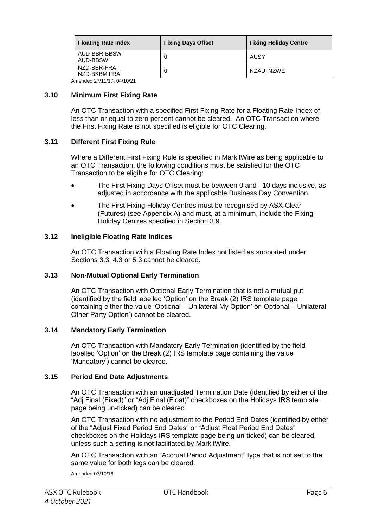| <b>Floating Rate Index</b>  | <b>Fixing Days Offset</b> | <b>Fixing Holiday Centre</b> |
|-----------------------------|---------------------------|------------------------------|
| AUD-BBR-BBSW<br>AUD-BBSW    |                           | AUSY                         |
| NZD-BBR-FRA<br>NZD-BKBM FRA |                           | NZAU, NZWE                   |

Amended 27/11/17, 04/10/21

#### **3.10 Minimum First Fixing Rate**

An OTC Transaction with a specified First Fixing Rate for a Floating Rate Index of less than or equal to zero percent cannot be cleared. An OTC Transaction where the First Fixing Rate is not specified is eligible for OTC Clearing.

## **3.11 Different First Fixing Rule**

Where a Different First Fixing Rule is specified in MarkitWire as being applicable to an OTC Transaction, the following conditions must be satisfied for the OTC Transaction to be eligible for OTC Clearing:

- The First Fixing Days Offset must be between 0 and –10 days inclusive, as adjusted in accordance with the applicable Business Day Convention.
- The First Fixing Holiday Centres must be recognised by ASX Clear (Futures) (see Appendix A) and must, at a minimum, include the Fixing Holiday Centres specified in Section 3.9.

### **3.12 Ineligible Floating Rate Indices**

An OTC Transaction with a Floating Rate Index not listed as supported under Sections 3.3, 4.3 or 5.3 cannot be cleared.

#### **3.13 Non-Mutual Optional Early Termination**

An OTC Transaction with Optional Early Termination that is not a mutual put (identified by the field labelled 'Option' on the Break (2) IRS template page containing either the value 'Optional – Unilateral My Option' or 'Optional – Unilateral Other Party Option') cannot be cleared.

#### **3.14 Mandatory Early Termination**

An OTC Transaction with Mandatory Early Termination (identified by the field labelled 'Option' on the Break (2) IRS template page containing the value 'Mandatory') cannot be cleared.

#### **3.15 Period End Date Adjustments**

An OTC Transaction with an unadjusted Termination Date (identified by either of the "Adj Final (Fixed)" or "Adj Final (Float)" checkboxes on the Holidays IRS template page being un-ticked) can be cleared.

An OTC Transaction with no adjustment to the Period End Dates (identified by either of the "Adjust Fixed Period End Dates" or "Adjust Float Period End Dates" checkboxes on the Holidays IRS template page being un-ticked) can be cleared, unless such a setting is not facilitated by MarkitWire.

An OTC Transaction with an "Accrual Period Adjustment" type that is not set to the same value for both legs can be cleared.

Amended 03/10/16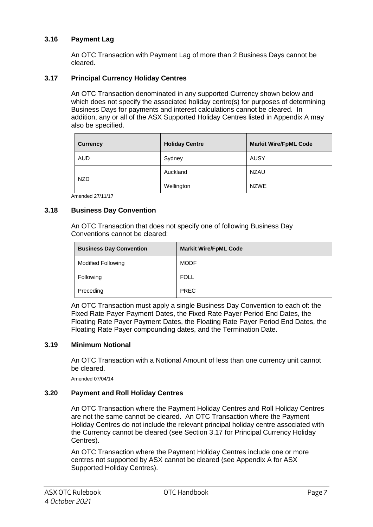## **3.16 Payment Lag**

An OTC Transaction with Payment Lag of more than 2 Business Days cannot be cleared.

## **3.17 Principal Currency Holiday Centres**

An OTC Transaction denominated in any supported Currency shown below and which does not specify the associated holiday centre(s) for purposes of determining Business Days for payments and interest calculations cannot be cleared. In addition, any or all of the ASX Supported Holiday Centres listed in Appendix A may also be specified.

| <b>Currency</b> | <b>Holiday Centre</b> | <b>Markit Wire/FpML Code</b> |
|-----------------|-----------------------|------------------------------|
| <b>AUD</b>      | Sydney                | AUSY                         |
| <b>NZD</b>      | Auckland              | <b>NZAU</b>                  |
|                 | Wellington            | <b>NZWE</b>                  |

Amended 27/11/17

### **3.18 Business Day Convention**

An OTC Transaction that does not specify one of following Business Day Conventions cannot be cleared:

| <b>Business Day Convention</b> | <b>Markit Wire/FpML Code</b> |
|--------------------------------|------------------------------|
| <b>Modified Following</b>      | <b>MODF</b>                  |
| Following                      | <b>FOLL</b>                  |
| Preceding                      | <b>PREC</b>                  |

An OTC Transaction must apply a single Business Day Convention to each of: the Fixed Rate Payer Payment Dates, the Fixed Rate Payer Period End Dates, the Floating Rate Payer Payment Dates, the Floating Rate Payer Period End Dates, the Floating Rate Payer compounding dates, and the Termination Date.

#### **3.19 Minimum Notional**

An OTC Transaction with a Notional Amount of less than one currency unit cannot be cleared.

Amended 07/04/14

#### **3.20 Payment and Roll Holiday Centres**

An OTC Transaction where the Payment Holiday Centres and Roll Holiday Centres are not the same cannot be cleared. An OTC Transaction where the Payment Holiday Centres do not include the relevant principal holiday centre associated with the Currency cannot be cleared (see Section 3.17 for Principal Currency Holiday Centres).

An OTC Transaction where the Payment Holiday Centres include one or more centres not supported by ASX cannot be cleared (see Appendix A for ASX Supported Holiday Centres).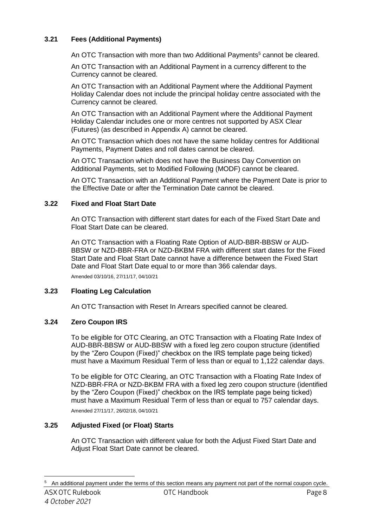## **3.21 Fees (Additional Payments)**

An OTC Transaction with more than two Additional Payments<sup>5</sup> cannot be cleared.

An OTC Transaction with an Additional Payment in a currency different to the Currency cannot be cleared.

An OTC Transaction with an Additional Payment where the Additional Payment Holiday Calendar does not include the principal holiday centre associated with the Currency cannot be cleared.

An OTC Transaction with an Additional Payment where the Additional Payment Holiday Calendar includes one or more centres not supported by ASX Clear (Futures) (as described in Appendix A) cannot be cleared.

An OTC Transaction which does not have the same holiday centres for Additional Payments, Payment Dates and roll dates cannot be cleared.

An OTC Transaction which does not have the Business Day Convention on Additional Payments, set to Modified Following (MODF) cannot be cleared.

An OTC Transaction with an Additional Payment where the Payment Date is prior to the Effective Date or after the Termination Date cannot be cleared.

## **3.22 Fixed and Float Start Date**

An OTC Transaction with different start dates for each of the Fixed Start Date and Float Start Date can be cleared.

An OTC Transaction with a Floating Rate Option of AUD-BBR-BBSW or AUD-BBSW or NZD-BBR-FRA or NZD-BKBM FRA with different start dates for the Fixed Start Date and Float Start Date cannot have a difference between the Fixed Start Date and Float Start Date equal to or more than 366 calendar days.

Amended 03/10/16, 27/11/17, 04/10/21

## **3.23 Floating Leg Calculation**

An OTC Transaction with Reset In Arrears specified cannot be cleared.

## **3.24 Zero Coupon IRS**

To be eligible for OTC Clearing, an OTC Transaction with a Floating Rate Index of AUD-BBR-BBSW or AUD-BBSW with a fixed leg zero coupon structure (identified by the "Zero Coupon (Fixed)" checkbox on the IRS template page being ticked) must have a Maximum Residual Term of less than or equal to 1,122 calendar days.

To be eligible for OTC Clearing, an OTC Transaction with a Floating Rate Index of NZD-BBR-FRA or NZD-BKBM FRA with a fixed leg zero coupon structure (identified by the "Zero Coupon (Fixed)" checkbox on the IRS template page being ticked) must have a Maximum Residual Term of less than or equal to 757 calendar days.

Amended 27/11/17, 26/02/18, 04/10/21

## **3.25 Adjusted Fixed (or Float) Starts**

An OTC Transaction with different value for both the Adjust Fixed Start Date and Adjust Float Start Date cannot be cleared.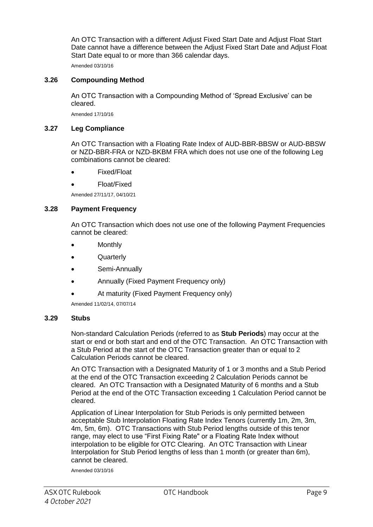An OTC Transaction with a different Adjust Fixed Start Date and Adjust Float Start Date cannot have a difference between the Adjust Fixed Start Date and Adjust Float Start Date equal to or more than 366 calendar days.

Amended 03/10/16

## **3.26 Compounding Method**

An OTC Transaction with a Compounding Method of 'Spread Exclusive' can be cleared.

Amended 17/10/16

#### **3.27 Leg Compliance**

An OTC Transaction with a Floating Rate Index of AUD-BBR-BBSW or AUD-BBSW or NZD-BBR-FRA or NZD-BKBM FRA which does not use one of the following Leg combinations cannot be cleared:

- Fixed/Float
- Float/Fixed

Amended 27/11/17, 04/10/21

#### **3.28 Payment Frequency**

An OTC Transaction which does not use one of the following Payment Frequencies cannot be cleared:

- Monthly
- Quarterly
- Semi-Annually
- Annually (Fixed Payment Frequency only)
- At maturity (Fixed Payment Frequency only)

Amended 11/02/14, 07/07/14

#### **3.29 Stubs**

Non-standard Calculation Periods (referred to as **Stub Periods**) may occur at the start or end or both start and end of the OTC Transaction. An OTC Transaction with a Stub Period at the start of the OTC Transaction greater than or equal to 2 Calculation Periods cannot be cleared.

An OTC Transaction with a Designated Maturity of 1 or 3 months and a Stub Period at the end of the OTC Transaction exceeding 2 Calculation Periods cannot be cleared. An OTC Transaction with a Designated Maturity of 6 months and a Stub Period at the end of the OTC Transaction exceeding 1 Calculation Period cannot be cleared.

Application of Linear Interpolation for Stub Periods is only permitted between acceptable Stub Interpolation Floating Rate Index Tenors (currently 1m, 2m, 3m, 4m, 5m, 6m). OTC Transactions with Stub Period lengths outside of this tenor range, may elect to use "First Fixing Rate" or a Floating Rate Index without interpolation to be eligible for OTC Clearing. An OTC Transaction with Linear Interpolation for Stub Period lengths of less than 1 month (or greater than 6m), cannot be cleared.

Amended 03/10/16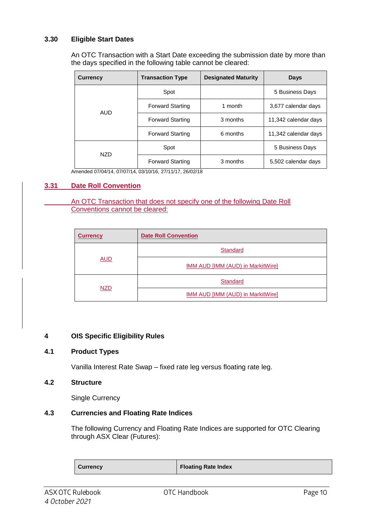## **3.30 Eligible Start Dates**

An OTC Transaction with a Start Date exceeding the submission date by more than the days specified in the following table cannot be cleared:

| <b>Currency</b> | <b>Transaction Type</b> | <b>Designated Maturity</b> | <b>Days</b>          |
|-----------------|-------------------------|----------------------------|----------------------|
|                 | Spot                    |                            | 5 Business Days      |
| AUD             | <b>Forward Starting</b> | 1 month                    | 3,677 calendar days  |
|                 | <b>Forward Starting</b> | 3 months                   | 11,342 calendar days |
|                 | <b>Forward Starting</b> | 6 months                   | 11,342 calendar days |
| <b>NZD</b>      | Spot                    |                            | 5 Business Days      |
|                 | <b>Forward Starting</b> | 3 months                   | 5,502 calendar days  |

Amended 07/04/14, 07/07/14, 03/10/16, 27/11/17, 26/02/18

## **3.31 Date Roll Convention**

An OTC Transaction that does not specify one of the following Date Roll Conventions cannot be cleared:

| <b>Currency</b> | <b>Date Roll Convention</b>              |
|-----------------|------------------------------------------|
|                 | <b>Standard</b>                          |
| <b>AUD</b>      | IMM AUD [IMM (AUD) in MarkitWire]        |
| <b>NZD</b>      | <b>Standard</b>                          |
|                 | <b>IMM AUD [IMM (AUD) in MarkitWire]</b> |

## **4 OIS Specific Eligibility Rules**

#### **4.1 Product Types**

Vanilla Interest Rate Swap – fixed rate leg versus floating rate leg.

## **4.2 Structure**

Single Currency

## **4.3 Currencies and Floating Rate Indices**

The following Currency and Floating Rate Indices are supported for OTC Clearing through ASX Clear (Futures):

| <b>Currency</b> | <b>Floating Rate Index</b> |
|-----------------|----------------------------|
|-----------------|----------------------------|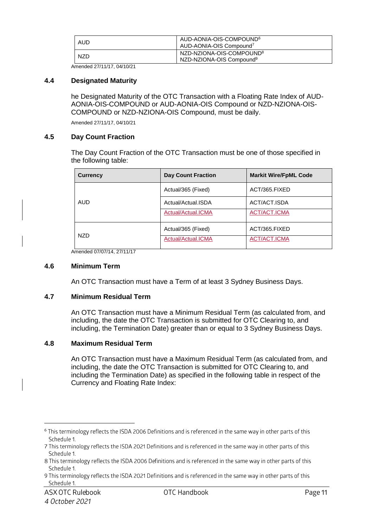| AUD | AUD-AONIA-OIS-COMPOUND <sup>6</sup><br>AUD-AONIA-OIS Compound <sup>7</sup>   |
|-----|------------------------------------------------------------------------------|
| NZD | NZD-NZIONA-OIS-COMPOUND <sup>8</sup><br>NZD-NZIONA-OIS Compound <sup>9</sup> |

Amended 27/11/17, 04/10/21

#### **4.4 Designated Maturity**

he Designated Maturity of the OTC Transaction with a Floating Rate Index of AUD-AONIA-OIS-COMPOUND or AUD-AONIA-OIS Compound or NZD-NZIONA-OIS-COMPOUND or NZD-NZIONA-OIS Compound, must be daily.

Amended 27/11/17, 04/10/21

#### **4.5 Day Count Fraction**

The Day Count Fraction of the OTC Transaction must be one of those specified in the following table:

| <b>Currency</b> | <b>Day Count Fraction</b> | <b>Markit Wire/FpML Code</b> |
|-----------------|---------------------------|------------------------------|
|                 | Actual/365 (Fixed)        | ACT/365.FIXED                |
| <b>AUD</b>      | Actual/Actual.ISDA        | ACT/ACT.ISDA                 |
|                 | Actual/Actual.ICMA        | ACT/ACT.ICMA                 |
| <b>NZD</b>      | Actual/365 (Fixed)        | ACT/365.FIXED                |
|                 | Actual/Actual.ICMA        | ACT/ACT.ICMA                 |

Amended 07/07/14, 27/11/17

#### **4.6 Minimum Term**

An OTC Transaction must have a Term of at least 3 Sydney Business Days.

#### **4.7 Minimum Residual Term**

An OTC Transaction must have a Minimum Residual Term (as calculated from, and including, the date the OTC Transaction is submitted for OTC Clearing to, and including, the Termination Date) greater than or equal to 3 Sydney Business Days.

#### **4.8 Maximum Residual Term**

An OTC Transaction must have a Maximum Residual Term (as calculated from, and including, the date the OTC Transaction is submitted for OTC Clearing to, and including the Termination Date) as specified in the following table in respect of the Currency and Floating Rate Index:

<sup>&</sup>lt;sup>6</sup> This terminology reflects the ISDA 2006 Definitions and is referenced in the same way in other parts of this Schedule 1.

<sup>7</sup> This terminology reflects the ISDA 2021 Definitions and is referenced in the same way in other parts of this Schedule 1.

<sup>8</sup> This terminology reflects the ISDA 2006 Definitions and is referenced in the same way in other parts of this Schedule 1.

<sup>9</sup> This terminology reflects the ISDA 2021 Definitions and is referenced in the same way in other parts of this Schedule 1.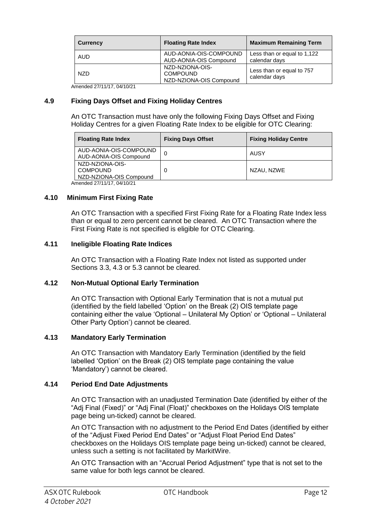| <b>Currency</b> | <b>Floating Rate Index</b>                                    | <b>Maximum Remaining Term</b>                |
|-----------------|---------------------------------------------------------------|----------------------------------------------|
| <b>AUD</b>      | AUD-AONIA-OIS-COMPOUND<br>AUD-AONIA-OIS Compound              | Less than or equal to 1,122<br>calendar days |
| <b>NZD</b>      | NZD-NZIONA-OIS-<br><b>COMPOUND</b><br>NZD-NZIONA-OIS Compound | Less than or equal to 757<br>calendar days   |

Amended 27/11/17, 04/10/21

## **4.9 Fixing Days Offset and Fixing Holiday Centres**

An OTC Transaction must have only the following Fixing Days Offset and Fixing Holiday Centres for a given Floating Rate Index to be eligible for OTC Clearing:

|                            | <b>Floating Rate Index</b>                                    | <b>Fixing Days Offset</b> | <b>Fixing Holiday Centre</b> |
|----------------------------|---------------------------------------------------------------|---------------------------|------------------------------|
|                            | AUD-AONIA-OIS-COMPOUND<br>AUD-AONIA-OIS Compound              | 0                         | AUSY                         |
|                            | NZD-NZIONA-OIS-<br><b>COMPOUND</b><br>NZD-NZIONA-OIS Compound | -0                        | NZAU, NZWE                   |
| Amended 27/11/17, 04/10/21 |                                                               |                           |                              |

### **4.10 Minimum First Fixing Rate**

An OTC Transaction with a specified First Fixing Rate for a Floating Rate Index less than or equal to zero percent cannot be cleared. An OTC Transaction where the First Fixing Rate is not specified is eligible for OTC Clearing.

### **4.11 Ineligible Floating Rate Indices**

An OTC Transaction with a Floating Rate Index not listed as supported under Sections 3.3, 4.3 or 5.3 cannot be cleared.

#### **4.12 Non-Mutual Optional Early Termination**

An OTC Transaction with Optional Early Termination that is not a mutual put (identified by the field labelled 'Option' on the Break (2) OIS template page containing either the value 'Optional – Unilateral My Option' or 'Optional – Unilateral Other Party Option') cannot be cleared.

#### **4.13 Mandatory Early Termination**

An OTC Transaction with Mandatory Early Termination (identified by the field labelled 'Option' on the Break (2) OIS template page containing the value 'Mandatory') cannot be cleared.

#### **4.14 Period End Date Adjustments**

An OTC Transaction with an unadjusted Termination Date (identified by either of the "Adj Final (Fixed)" or "Adj Final (Float)" checkboxes on the Holidays OIS template page being un-ticked) cannot be cleared.

An OTC Transaction with no adjustment to the Period End Dates (identified by either of the "Adjust Fixed Period End Dates" or "Adjust Float Period End Dates" checkboxes on the Holidays OIS template page being un-ticked) cannot be cleared, unless such a setting is not facilitated by MarkitWire.

An OTC Transaction with an "Accrual Period Adjustment" type that is not set to the same value for both legs cannot be cleared.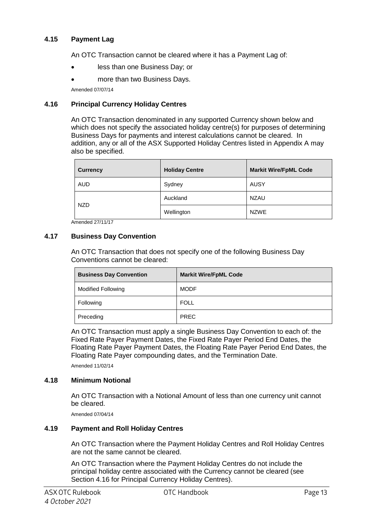## **4.15 Payment Lag**

An OTC Transaction cannot be cleared where it has a Payment Lag of:

- less than one Business Day; or
- more than two Business Days.

Amended 07/07/14

## **4.16 Principal Currency Holiday Centres**

An OTC Transaction denominated in any supported Currency shown below and which does not specify the associated holiday centre(s) for purposes of determining Business Days for payments and interest calculations cannot be cleared. In addition, any or all of the ASX Supported Holiday Centres listed in Appendix A may also be specified.

| <b>Currency</b> | <b>Holiday Centre</b> | <b>Markit Wire/FpML Code</b> |
|-----------------|-----------------------|------------------------------|
| <b>AUD</b>      | Sydney                | AUSY                         |
| <b>NZD</b>      | Auckland              | <b>NZAU</b>                  |
|                 | Wellington            | <b>NZWE</b>                  |

Amended 27/11/17

## **4.17 Business Day Convention**

An OTC Transaction that does not specify one of the following Business Day Conventions cannot be cleared:

| <b>Business Day Convention</b> | <b>Markit Wire/FpML Code</b> |
|--------------------------------|------------------------------|
| <b>Modified Following</b>      | <b>MODF</b>                  |
| Following                      | <b>FOLL</b>                  |
| Preceding                      | <b>PREC</b>                  |

An OTC Transaction must apply a single Business Day Convention to each of: the Fixed Rate Payer Payment Dates, the Fixed Rate Payer Period End Dates, the Floating Rate Payer Payment Dates, the Floating Rate Payer Period End Dates, the Floating Rate Payer compounding dates, and the Termination Date.

Amended 11/02/14

## **4.18 Minimum Notional**

An OTC Transaction with a Notional Amount of less than one currency unit cannot be cleared.

Amended 07/04/14

## **4.19 Payment and Roll Holiday Centres**

An OTC Transaction where the Payment Holiday Centres and Roll Holiday Centres are not the same cannot be cleared.

An OTC Transaction where the Payment Holiday Centres do not include the principal holiday centre associated with the Currency cannot be cleared (see Section 4.16 for Principal Currency Holiday Centres).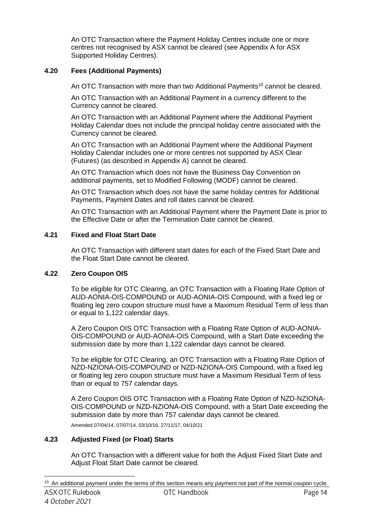An OTC Transaction where the Payment Holiday Centres include one or more centres not recognised by ASX cannot be cleared (see Appendix A for ASX Supported Holiday Centres).

## **4.20 Fees (Additional Payments)**

An OTC Transaction with more than two Additional Payments<sup>10</sup> cannot be cleared.

An OTC Transaction with an Additional Payment in a currency different to the Currency cannot be cleared.

An OTC Transaction with an Additional Payment where the Additional Payment Holiday Calendar does not include the principal holiday centre associated with the Currency cannot be cleared.

An OTC Transaction with an Additional Payment where the Additional Payment Holiday Calendar includes one or more centres not supported by ASX Clear (Futures) (as described in Appendix A) cannot be cleared.

An OTC Transaction which does not have the Business Day Convention on additional payments, set to Modified Following (MODF) cannot be cleared.

An OTC Transaction which does not have the same holiday centres for Additional Payments, Payment Dates and roll dates cannot be cleared.

An OTC Transaction with an Additional Payment where the Payment Date is prior to the Effective Date or after the Termination Date cannot be cleared.

## **4.21 Fixed and Float Start Date**

An OTC Transaction with different start dates for each of the Fixed Start Date and the Float Start Date cannot be cleared.

## **4.22 Zero Coupon OIS**

To be eligible for OTC Clearing, an OTC Transaction with a Floating Rate Option of AUD-AONIA-OIS-COMPOUND or AUD-AONIA-OIS Compound, with a fixed leg or floating leg zero coupon structure must have a Maximum Residual Term of less than or equal to 1,122 calendar days.

A Zero Coupon OIS OTC Transaction with a Floating Rate Option of AUD-AONIA-OIS-COMPOUND or AUD-AONIA-OIS Compound, with a Start Date exceeding the submission date by more than 1,122 calendar days cannot be cleared.

To be eligible for OTC Clearing, an OTC Transaction with a Floating Rate Option of NZD-NZIONA-OIS-COMPOUND or NZD-NZIONA-OIS Compound, with a fixed leg or floating leg zero coupon structure must have a Maximum Residual Term of less than or equal to 757 calendar days.

A Zero Coupon OIS OTC Transaction with a Floating Rate Option of NZD-NZIONA-OIS-COMPOUND or NZD-NZIONA-OIS Compound, with a Start Date exceeding the submission date by more than 757 calendar days cannot be cleared. Amended 07/04/14, 07/07/14, 03/10/16, 27/11/17, 04/10/21

## **4.23 Adjusted Fixed (or Float) Starts**

An OTC Transaction with a different value for both the Adjust Fixed Start Date and Adjust Float Start Date cannot be cleared.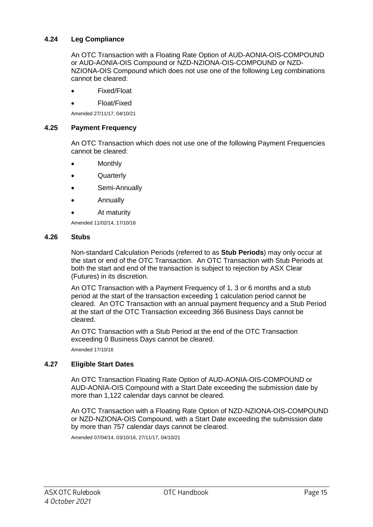## **4.24 Leg Compliance**

An OTC Transaction with a Floating Rate Option of AUD-AONIA-OIS-COMPOUND or AUD-AONIA-OIS Compound or NZD-NZIONA-OIS-COMPOUND or NZD-NZIONA-OIS Compound which does not use one of the following Leg combinations cannot be cleared:

- Fixed/Float
- Float/Fixed

Amended 27/11/17, 04/10/21

#### **4.25 Payment Frequency**

An OTC Transaction which does not use one of the following Payment Frequencies cannot be cleared:

- **Monthly**
- **Quarterly**
- Semi-Annually
- Annually
- At maturity

Amended 11/02/14, 17/10/16

#### **4.26 Stubs**

Non-standard Calculation Periods (referred to as **Stub Periods**) may only occur at the start or end of the OTC Transaction. An OTC Transaction with Stub Periods at both the start and end of the transaction is subject to rejection by ASX Clear (Futures) in its discretion.

An OTC Transaction with a Payment Frequency of 1, 3 or 6 months and a stub period at the start of the transaction exceeding 1 calculation period cannot be cleared. An OTC Transaction with an annual payment frequency and a Stub Period at the start of the OTC Transaction exceeding 366 Business Days cannot be cleared.

An OTC Transaction with a Stub Period at the end of the OTC Transaction exceeding 0 Business Days cannot be cleared.

Amended 17/10/16

## **4.27 Eligible Start Dates**

An OTC Transaction Floating Rate Option of AUD-AONIA-OIS-COMPOUND or AUD-AONIA-OIS Compound with a Start Date exceeding the submission date by more than 1,122 calendar days cannot be cleared.

An OTC Transaction with a Floating Rate Option of NZD-NZIONA-OIS-COMPOUND or NZD-NZIONA-OIS Compound, with a Start Date exceeding the submission date by more than 757 calendar days cannot be cleared.

Amended 07/04/14, 03/10/16, 27/11/17, 04/10/21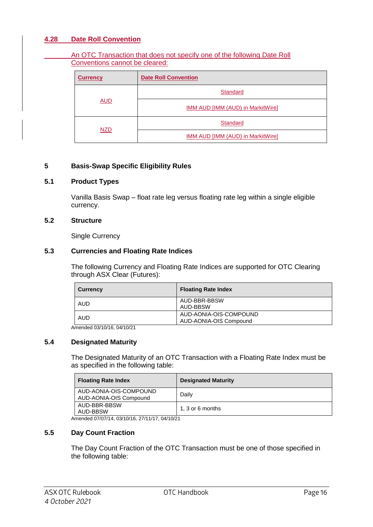## **4.28 Date Roll Convention**

An OTC Transaction that does not specify one of the following Date Roll Conventions cannot be cleared:

| <b>Currency</b> | <b>Date Roll Convention</b>              |
|-----------------|------------------------------------------|
|                 | <b>Standard</b>                          |
| <b>AUD</b>      | IMM AUD [IMM (AUD) in MarkitWire]        |
| <b>NZD</b>      | <b>Standard</b>                          |
|                 | <b>IMM AUD [IMM (AUD) in MarkitWire]</b> |

#### **5 Basis-Swap Specific Eligibility Rules**

#### **5.1 Product Types**

Vanilla Basis Swap – float rate leg versus floating rate leg within a single eligible currency.

#### **5.2 Structure**

Single Currency

#### **5.3 Currencies and Floating Rate Indices**

The following Currency and Floating Rate Indices are supported for OTC Clearing through ASX Clear (Futures):

| <b>Currency</b> | <b>Floating Rate Index</b>                       |
|-----------------|--------------------------------------------------|
| AUD             | AUD-BBR-BBSW<br>AUD-BBSW                         |
| AUD             | AUD-AONIA-OIS-COMPOUND<br>AUD-AONIA-OIS Compound |

Amended 03/10/16, 04/10/21

#### **5.4 Designated Maturity**

The Designated Maturity of an OTC Transaction with a Floating Rate Index must be as specified in the following table:

| <b>Floating Rate Index</b>                       | <b>Designated Maturity</b> |
|--------------------------------------------------|----------------------------|
| AUD-AONIA-OIS-COMPOUND<br>AUD-AONIA-OIS Compound | Daily                      |
| AUD-BBR-BBSW<br>AUD-BBSW                         | 1, 3 or 6 months           |

Amended 07/07/14, 03/10/16, 27/11/17, 04/10/21

#### **5.5 Day Count Fraction**

The Day Count Fraction of the OTC Transaction must be one of those specified in the following table: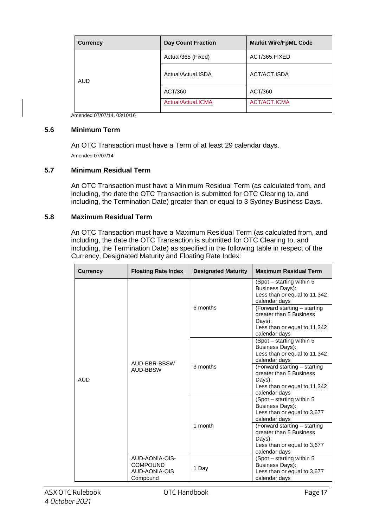| <b>Currency</b> | <b>Day Count Fraction</b> | <b>Markit Wire/FpML Code</b> |
|-----------------|---------------------------|------------------------------|
| <b>AUD</b>      | Actual/365 (Fixed)        | ACT/365.FIXED                |
|                 | Actual/Actual.ISDA        | ACT/ACT.ISDA                 |
|                 | ACT/360                   | ACT/360                      |
|                 | Actual/Actual.ICMA        | ACT/ACT.ICMA                 |

Amended 07/07/14, 03/10/16

#### **5.6 Minimum Term**

An OTC Transaction must have a Term of at least 29 calendar days. Amended 07/07/14

#### **5.7 Minimum Residual Term**

An OTC Transaction must have a Minimum Residual Term (as calculated from, and including, the date the OTC Transaction is submitted for OTC Clearing to, and including, the Termination Date) greater than or equal to 3 Sydney Business Days.

#### **5.8 Maximum Residual Term**

An OTC Transaction must have a Maximum Residual Term (as calculated from, and including, the date the OTC Transaction is submitted for OTC Clearing to, and including, the Termination Date) as specified in the following table in respect of the Currency, Designated Maturity and Floating Rate Index:

| <b>Currency</b> | <b>Floating Rate Index</b>                                     | <b>Designated Maturity</b> | <b>Maximum Residual Term</b>                                                                                       |
|-----------------|----------------------------------------------------------------|----------------------------|--------------------------------------------------------------------------------------------------------------------|
| <b>AUD</b>      | AUD-BBR-BBSW<br>AUD-BBSW                                       | 6 months                   | (Spot – starting within 5)<br>Business Days):<br>Less than or equal to 11,342<br>calendar days                     |
|                 |                                                                |                            | (Forward starting - starting<br>greater than 5 Business<br>Days):<br>Less than or equal to 11,342<br>calendar days |
|                 |                                                                | 3 months                   | (Spot - starting within 5<br><b>Business Days):</b><br>Less than or equal to 11,342<br>calendar days               |
|                 |                                                                |                            | (Forward starting - starting<br>greater than 5 Business<br>Days):<br>Less than or equal to 11,342<br>calendar days |
|                 |                                                                | 1 month                    | (Spot - starting within 5<br>Business Days):<br>Less than or equal to 3,677<br>calendar days                       |
|                 |                                                                |                            | (Forward starting - starting<br>greater than 5 Business<br>Days):<br>Less than or equal to 3,677<br>calendar days  |
|                 | AUD-AONIA-OIS-<br><b>COMPOUND</b><br>AUD-AONIA-OIS<br>Compound | 1 Day                      | (Spot - starting within 5<br>Business Days):<br>Less than or equal to 3,677<br>calendar days                       |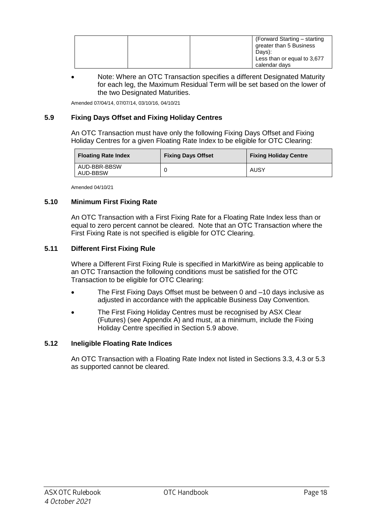|  | (Forward Starting – starting<br>greater than 5 Business<br>Davs):<br>Less than or equal to 3,677 |
|--|--------------------------------------------------------------------------------------------------|
|  | calendar days                                                                                    |

 Note: Where an OTC Transaction specifies a different Designated Maturity for each leg, the Maximum Residual Term will be set based on the lower of the two Designated Maturities.

Amended 07/04/14, 07/07/14, 03/10/16, 04/10/21

## **5.9 Fixing Days Offset and Fixing Holiday Centres**

An OTC Transaction must have only the following Fixing Days Offset and Fixing Holiday Centres for a given Floating Rate Index to be eligible for OTC Clearing:

| <b>Floating Rate Index</b> | <b>Fixing Days Offset</b> | <b>Fixing Holiday Centre</b> |
|----------------------------|---------------------------|------------------------------|
| AUD-BBR-BBSW<br>AUD-BBSW   |                           | AUSY                         |

Amended 04/10/21

## **5.10 Minimum First Fixing Rate**

An OTC Transaction with a First Fixing Rate for a Floating Rate Index less than or equal to zero percent cannot be cleared. Note that an OTC Transaction where the First Fixing Rate is not specified is eligible for OTC Clearing.

### **5.11 Different First Fixing Rule**

Where a Different First Fixing Rule is specified in MarkitWire as being applicable to an OTC Transaction the following conditions must be satisfied for the OTC Transaction to be eligible for OTC Clearing:

- The First Fixing Days Offset must be between 0 and –10 days inclusive as adjusted in accordance with the applicable Business Day Convention.
- The First Fixing Holiday Centres must be recognised by ASX Clear (Futures) (see Appendix A) and must, at a minimum, include the Fixing Holiday Centre specified in Section 5.9 above.

#### **5.12 Ineligible Floating Rate Indices**

An OTC Transaction with a Floating Rate Index not listed in Sections 3.3, 4.3 or 5.3 as supported cannot be cleared.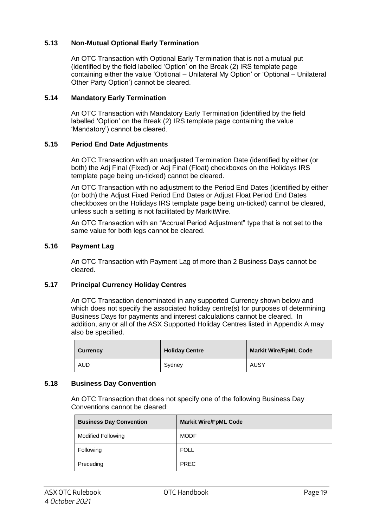## **5.13 Non-Mutual Optional Early Termination**

An OTC Transaction with Optional Early Termination that is not a mutual put (identified by the field labelled 'Option' on the Break (2) IRS template page containing either the value 'Optional – Unilateral My Option' or 'Optional – Unilateral Other Party Option') cannot be cleared.

#### **5.14 Mandatory Early Termination**

An OTC Transaction with Mandatory Early Termination (identified by the field labelled 'Option' on the Break (2) IRS template page containing the value 'Mandatory') cannot be cleared.

### **5.15 Period End Date Adjustments**

An OTC Transaction with an unadjusted Termination Date (identified by either (or both) the Adj Final (Fixed) or Adj Final (Float) checkboxes on the Holidays IRS template page being un-ticked) cannot be cleared.

An OTC Transaction with no adjustment to the Period End Dates (identified by either (or both) the Adjust Fixed Period End Dates or Adjust Float Period End Dates checkboxes on the Holidays IRS template page being un-ticked) cannot be cleared, unless such a setting is not facilitated by MarkitWire.

An OTC Transaction with an "Accrual Period Adjustment" type that is not set to the same value for both legs cannot be cleared.

### **5.16 Payment Lag**

An OTC Transaction with Payment Lag of more than 2 Business Days cannot be cleared.

## **5.17 Principal Currency Holiday Centres**

An OTC Transaction denominated in any supported Currency shown below and which does not specify the associated holiday centre(s) for purposes of determining Business Days for payments and interest calculations cannot be cleared. In addition, any or all of the ASX Supported Holiday Centres listed in Appendix A may also be specified.

| <b>Currency</b> | <b>Holiday Centre</b> | <b>Markit Wire/FpML Code</b> |
|-----------------|-----------------------|------------------------------|
| <b>AUD</b>      | Svdnev                | AUSY                         |

#### **5.18 Business Day Convention**

An OTC Transaction that does not specify one of the following Business Day Conventions cannot be cleared:

| <b>Business Day Convention</b> | <b>Markit Wire/FpML Code</b> |
|--------------------------------|------------------------------|
| <b>Modified Following</b>      | <b>MODF</b>                  |
| Following                      | FOLL                         |
| Preceding                      | <b>PREC</b>                  |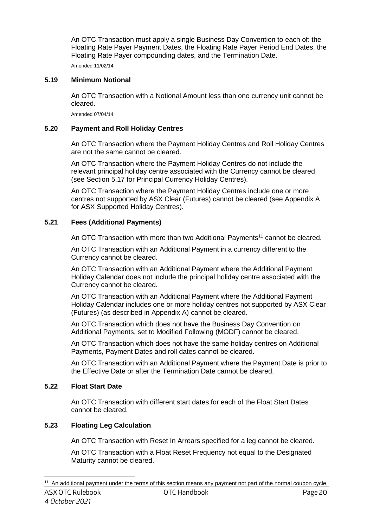An OTC Transaction must apply a single Business Day Convention to each of: the Floating Rate Payer Payment Dates, the Floating Rate Payer Period End Dates, the Floating Rate Payer compounding dates, and the Termination Date.

Amended 11/02/14

## **5.19 Minimum Notional**

An OTC Transaction with a Notional Amount less than one currency unit cannot be cleared.

Amended 07/04/14

## **5.20 Payment and Roll Holiday Centres**

An OTC Transaction where the Payment Holiday Centres and Roll Holiday Centres are not the same cannot be cleared.

An OTC Transaction where the Payment Holiday Centres do not include the relevant principal holiday centre associated with the Currency cannot be cleared (see Section 5.17 for Principal Currency Holiday Centres).

An OTC Transaction where the Payment Holiday Centres include one or more centres not supported by ASX Clear (Futures) cannot be cleared (see Appendix A for ASX Supported Holiday Centres).

## **5.21 Fees (Additional Payments)**

An OTC Transaction with more than two Additional Payments<sup>11</sup> cannot be cleared.

An OTC Transaction with an Additional Payment in a currency different to the Currency cannot be cleared.

An OTC Transaction with an Additional Payment where the Additional Payment Holiday Calendar does not include the principal holiday centre associated with the Currency cannot be cleared.

An OTC Transaction with an Additional Payment where the Additional Payment Holiday Calendar includes one or more holiday centres not supported by ASX Clear (Futures) (as described in Appendix A) cannot be cleared.

An OTC Transaction which does not have the Business Day Convention on Additional Payments, set to Modified Following (MODF) cannot be cleared.

An OTC Transaction which does not have the same holiday centres on Additional Payments, Payment Dates and roll dates cannot be cleared.

An OTC Transaction with an Additional Payment where the Payment Date is prior to the Effective Date or after the Termination Date cannot be cleared.

## **5.22 Float Start Date**

An OTC Transaction with different start dates for each of the Float Start Dates cannot be cleared.

## **5.23 Floating Leg Calculation**

An OTC Transaction with Reset In Arrears specified for a leg cannot be cleared.

An OTC Transaction with a Float Reset Frequency not equal to the Designated Maturity cannot be cleared.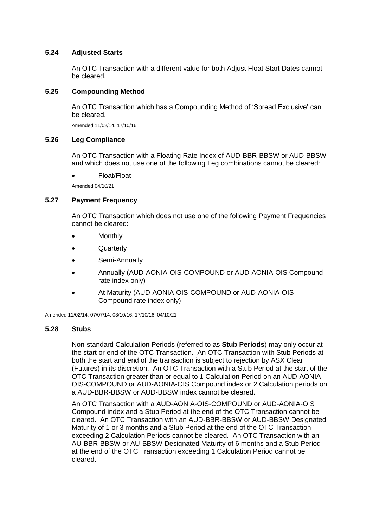#### **5.24 Adjusted Starts**

An OTC Transaction with a different value for both Adjust Float Start Dates cannot be cleared.

#### **5.25 Compounding Method**

An OTC Transaction which has a Compounding Method of 'Spread Exclusive' can be cleared.

Amended 11/02/14, 17/10/16

#### **5.26 Leg Compliance**

An OTC Transaction with a Floating Rate Index of AUD-BBR-BBSW or AUD-BBSW and which does not use one of the following Leg combinations cannot be cleared:

Float/Float

Amended 04/10/21

#### **5.27 Payment Frequency**

An OTC Transaction which does not use one of the following Payment Frequencies cannot be cleared:

- **Monthly**
- Quarterly
- Semi-Annually
- Annually (AUD-AONIA-OIS-COMPOUND or AUD-AONIA-OIS Compound rate index only)
- At Maturity (AUD-AONIA-OIS-COMPOUND or AUD-AONIA-OIS Compound rate index only)

Amended 11/02/14, 07/07/14, 03/10/16, 17/10/16, 04/10/21

#### **5.28 Stubs**

Non-standard Calculation Periods (referred to as **Stub Periods**) may only occur at the start or end of the OTC Transaction. An OTC Transaction with Stub Periods at both the start and end of the transaction is subject to rejection by ASX Clear (Futures) in its discretion. An OTC Transaction with a Stub Period at the start of the OTC Transaction greater than or equal to 1 Calculation Period on an AUD-AONIA-OIS-COMPOUND or AUD-AONIA-OIS Compound index or 2 Calculation periods on a AUD-BBR-BBSW or AUD-BBSW index cannot be cleared.

An OTC Transaction with a AUD-AONIA-OIS-COMPOUND or AUD-AONIA-OIS Compound index and a Stub Period at the end of the OTC Transaction cannot be cleared. An OTC Transaction with an AUD-BBR-BBSW or AUD-BBSW Designated Maturity of 1 or 3 months and a Stub Period at the end of the OTC Transaction exceeding 2 Calculation Periods cannot be cleared. An OTC Transaction with an AU-BBR-BBSW or AU-BBSW Designated Maturity of 6 months and a Stub Period at the end of the OTC Transaction exceeding 1 Calculation Period cannot be cleared.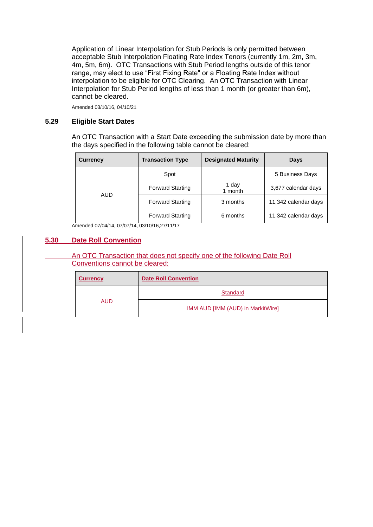Application of Linear Interpolation for Stub Periods is only permitted between acceptable Stub Interpolation Floating Rate Index Tenors (currently 1m, 2m, 3m, 4m, 5m, 6m). OTC Transactions with Stub Period lengths outside of this tenor range, may elect to use "First Fixing Rate" or a Floating Rate Index without interpolation to be eligible for OTC Clearing. An OTC Transaction with Linear Interpolation for Stub Period lengths of less than 1 month (or greater than 6m), cannot be cleared.

Amended 03/10/16, 04/10/21

#### **5.29 Eligible Start Dates**

An OTC Transaction with a Start Date exceeding the submission date by more than the days specified in the following table cannot be cleared:

| <b>Currency</b> | <b>Transaction Type</b> | <b>Designated Maturity</b> | Days                 |
|-----------------|-------------------------|----------------------------|----------------------|
|                 | Spot                    |                            | 5 Business Days      |
| AUD             | <b>Forward Starting</b> | 1 day<br>1 month           | 3,677 calendar days  |
|                 | <b>Forward Starting</b> | 3 months                   | 11,342 calendar days |
|                 | <b>Forward Starting</b> | 6 months                   | 11,342 calendar days |

Amended 07/04/14, 07/07/14, 03/10/16,27/11/17

#### **5.30 Date Roll Convention**

An OTC Transaction that does not specify one of the following Date Roll Conventions cannot be cleared:

| <b>Currency</b> | <b>Date Roll Convention</b>              |  |
|-----------------|------------------------------------------|--|
| AUD             | Standard                                 |  |
|                 | <b>IMM AUD [IMM (AUD) in MarkitWire]</b> |  |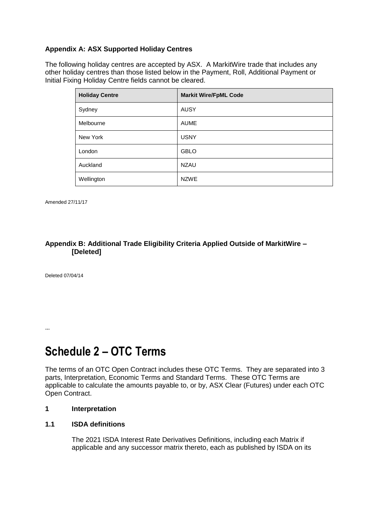## **Appendix A: ASX Supported Holiday Centres**

The following holiday centres are accepted by ASX. A MarkitWire trade that includes any other holiday centres than those listed below in the Payment, Roll, Additional Payment or Initial Fixing Holiday Centre fields cannot be cleared.

| <b>Holiday Centre</b> | <b>Markit Wire/FpML Code</b> |
|-----------------------|------------------------------|
| Sydney                | <b>AUSY</b>                  |
| Melbourne             | <b>AUME</b>                  |
| New York              | <b>USNY</b>                  |
| London                | <b>GBLO</b>                  |
| Auckland              | <b>NZAU</b>                  |
| Wellington            | <b>NZWE</b>                  |

Amended 27/11/17

#### **Appendix B: Additional Trade Eligibility Criteria Applied Outside of MarkitWire – [Deleted]**

Deleted 07/04/14

…

## **Schedule 2 – OTC Terms**

The terms of an OTC Open Contract includes these OTC Terms. They are separated into 3 parts, Interpretation, Economic Terms and Standard Terms. These OTC Terms are applicable to calculate the amounts payable to, or by, ASX Clear (Futures) under each OTC Open Contract.

#### **1 Interpretation**

#### **1.1 ISDA definitions**

The 2021 ISDA Interest Rate Derivatives Definitions, including each Matrix if applicable and any successor matrix thereto, each as published by ISDA on its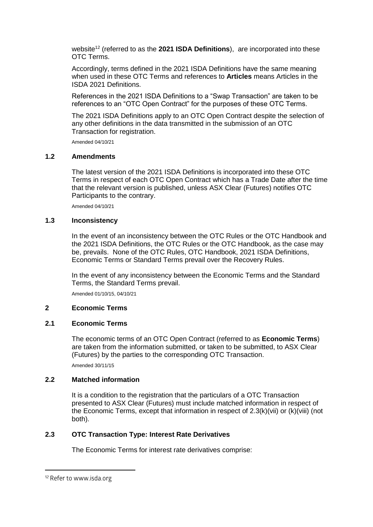website<sup>12</sup> (referred to as the **2021 ISDA Definitions**), are incorporated into these OTC Terms.

Accordingly, terms defined in the 2021 ISDA Definitions have the same meaning when used in these OTC Terms and references to **Articles** means Articles in the ISDA 2021 Definitions.

References in the 2021 ISDA Definitions to a "Swap Transaction" are taken to be references to an "OTC Open Contract" for the purposes of these OTC Terms.

The 2021 ISDA Definitions apply to an OTC Open Contract despite the selection of any other definitions in the data transmitted in the submission of an OTC Transaction for registration.

Amended 04/10/21

#### **1.2 Amendments**

The latest version of the 2021 ISDA Definitions is incorporated into these OTC Terms in respect of each OTC Open Contract which has a Trade Date after the time that the relevant version is published, unless ASX Clear (Futures) notifies OTC Participants to the contrary.

Amended 04/10/21

#### **1.3 Inconsistency**

In the event of an inconsistency between the OTC Rules or the OTC Handbook and the 2021 ISDA Definitions, the OTC Rules or the OTC Handbook, as the case may be, prevails. None of the OTC Rules, OTC Handbook, 2021 ISDA Definitions, Economic Terms or Standard Terms prevail over the Recovery Rules.

In the event of any inconsistency between the Economic Terms and the Standard Terms, the Standard Terms prevail.

Amended 01/10/15, 04/10/21

#### **2 Economic Terms**

#### **2.1 Economic Terms**

The economic terms of an OTC Open Contract (referred to as **Economic Terms**) are taken from the information submitted, or taken to be submitted, to ASX Clear (Futures) by the parties to the corresponding OTC Transaction.

Amended 30/11/15

#### **2.2 Matched information**

It is a condition to the registration that the particulars of a OTC Transaction presented to ASX Clear (Futures) must include matched information in respect of the Economic Terms, except that information in respect of 2.3(k)(vii) or (k)(viii) (not both).

#### **2.3 OTC Transaction Type: Interest Rate Derivatives**

The Economic Terms for interest rate derivatives comprise:

<sup>&</sup>lt;sup>12</sup> Refer to www.isda.org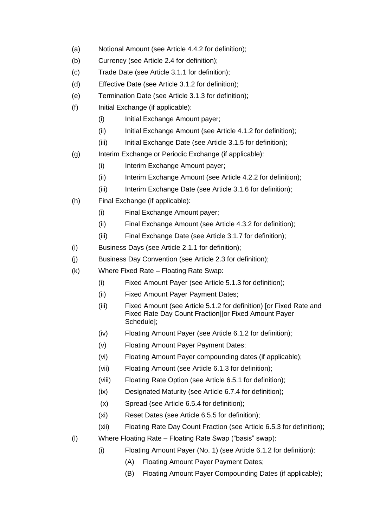- (a) Notional Amount (see Article 4.4.2 for definition);
- (b) Currency (see Article 2.4 for definition);
- (c) Trade Date (see Article 3.1.1 for definition);
- (d) Effective Date (see Article 3.1.2 for definition);
- (e) Termination Date (see Article 3.1.3 for definition);
- (f) Initial Exchange (if applicable):
	- (i) Initial Exchange Amount payer;
	- (ii) Initial Exchange Amount (see Article 4.1.2 for definition);
	- (iii) Initial Exchange Date (see Article 3.1.5 for definition);
- (g) Interim Exchange or Periodic Exchange (if applicable):
	- (i) Interim Exchange Amount payer;
	- (ii) Interim Exchange Amount (see Article 4.2.2 for definition);
	- (iii) Interim Exchange Date (see Article 3.1.6 for definition);
- (h) Final Exchange (if applicable):
	- (i) Final Exchange Amount payer;
	- (ii) Final Exchange Amount (see Article 4.3.2 for definition);
	- (iii) Final Exchange Date (see Article 3.1.7 for definition);
- (i) Business Days (see Article 2.1.1 for definition);
- (j) Business Day Convention (see Article 2.3 for definition);
- (k) Where Fixed Rate Floating Rate Swap:
	- (i) Fixed Amount Payer (see Article 5.1.3 for definition);
	- (ii) Fixed Amount Payer Payment Dates;
	- (iii) Fixed Amount (see Article 5.1.2 for definition) [or Fixed Rate and Fixed Rate Day Count Fraction][or Fixed Amount Payer Schedule];
	- (iv) Floating Amount Payer (see Article 6.1.2 for definition);
	- (v) Floating Amount Payer Payment Dates;
	- (vi) Floating Amount Payer compounding dates (if applicable);
	- (vii) Floating Amount (see Article 6.1.3 for definition);
	- (viii) Floating Rate Option (see Article 6.5.1 for definition);
	- (ix) Designated Maturity (see Article 6.7.4 for definition);
	- (x) Spread (see Article 6.5.4 for definition);
	- (xi) Reset Dates (see Article 6.5.5 for definition);
	- (xii) Floating Rate Day Count Fraction (see Article 6.5.3 for definition);
- (l) Where Floating Rate Floating Rate Swap ("basis" swap):
	- (i) Floating Amount Payer (No. 1) (see Article 6.1.2 for definition):
		- (A) Floating Amount Payer Payment Dates;
		- (B) Floating Amount Payer Compounding Dates (if applicable);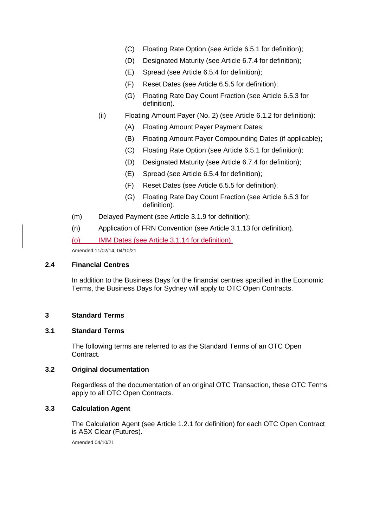- (C) Floating Rate Option (see Article 6.5.1 for definition);
- (D) Designated Maturity (see Article 6.7.4 for definition);
- (E) Spread (see Article 6.5.4 for definition);
- (F) Reset Dates (see Article 6.5.5 for definition);
- (G) Floating Rate Day Count Fraction (see Article 6.5.3 for definition).
- (ii) Floating Amount Payer (No. 2) (see Article 6.1.2 for definition):
	- (A) Floating Amount Payer Payment Dates;
	- (B) Floating Amount Payer Compounding Dates (if applicable);
	- (C) Floating Rate Option (see Article 6.5.1 for definition);
	- (D) Designated Maturity (see Article 6.7.4 for definition);
	- (E) Spread (see Article 6.5.4 for definition);
	- (F) Reset Dates (see Article 6.5.5 for definition);
	- (G) Floating Rate Day Count Fraction (see Article 6.5.3 for definition).
- (m) Delayed Payment (see Article 3.1.9 for definition);
- (n) Application of FRN Convention (see Article 3.1.13 for definition).

(o) IMM Dates (see Article 3.1.14 for definition).

Amended 11/02/14, 04/10/21

### **2.4 Financial Centres**

In addition to the Business Days for the financial centres specified in the Economic Terms, the Business Days for Sydney will apply to OTC Open Contracts.

#### **3 Standard Terms**

#### **3.1 Standard Terms**

The following terms are referred to as the Standard Terms of an OTC Open Contract.

#### **3.2 Original documentation**

Regardless of the documentation of an original OTC Transaction, these OTC Terms apply to all OTC Open Contracts.

### **3.3 Calculation Agent**

The Calculation Agent (see Article 1.2.1 for definition) for each OTC Open Contract is ASX Clear (Futures).

Amended 04/10/21